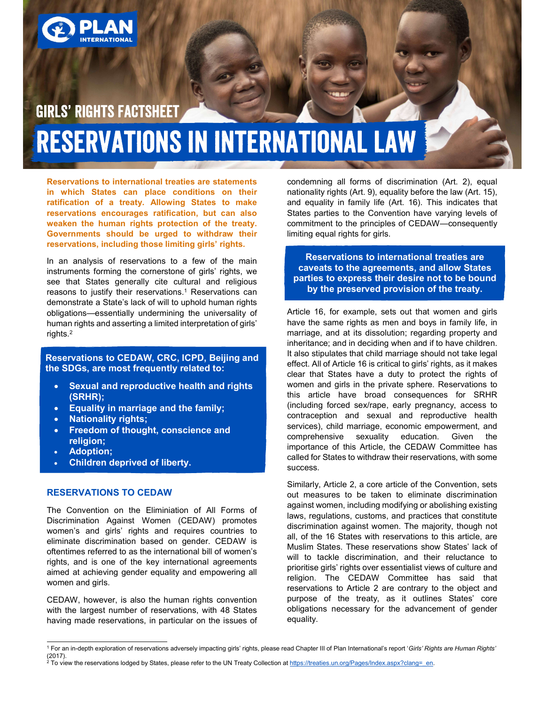

# **GIRLS' RIGHTS FACTSHEET RESERVATIONS IN INTERNATIONAL LAW**

Reservations to international treaties are statements in which States can place conditions on their ratification of a treaty. Allowing States to make reservations encourages ratification, but can also weaken the human rights protection of the treaty. Governments should be urged to withdraw their reservations, including those limiting girls' rights.

In an analysis of reservations to a few of the main instruments forming the cornerstone of girls' rights, we see that States generally cite cultural and religious reasons to justify their reservations.<sup>1</sup> Reservations can **the Dy the pr** demonstrate a State's lack of will to uphold human rights obligations—essentially undermining the universality of human rights and asserting a limited interpretation of girls' rights.2

Reservations to CEDAW, CRC, ICPD, Beijing and the SDGs, are most frequently related to:

- Sexual and reproductive health and rights (SRHR);
- **Equality in marriage and the family;**
- Nationality rights;
- Freedom of thought, conscience and religion;
- Adoption;
- Children deprived of liberty.

#### RESERVATIONS TO CEDAW

The Convention on the Eliminiation of All Forms of Discrimination Against Women (CEDAW) promotes women's and girls' rights and requires countries to eliminate discrimination based on gender. CEDAW is oftentimes referred to as the international bill of women's rights, and is one of the key international agreements aimed at achieving gender equality and empowering all women and girls.

CEDAW, however, is also the human rights convention with the largest number of reservations, with 48 States having made reservations, in particular on the issues of condemning all forms of discrimination (Art. 2), equal nationality rights (Art. 9), equality before the law (Art. 15), and equality in family life (Art. 16). This indicates that States parties to the Convention have varying levels of commitment to the principles of CEDAW—consequently limiting equal rights for girls.

Reservations to international treaties are caveats to the agreements, and allow States parties to express their desire not to be bound by the preserved provision of the treaty.

Article 16, for example, sets out that women and girls have the same rights as men and boys in family life, in marriage, and at its dissolution; regarding property and inheritance; and in deciding when and if to have children. It also stipulates that child marriage should not take legal effect. All of Article 16 is critical to girls' rights, as it makes clear that States have a duty to protect the rights of women and girls in the private sphere. Reservations to this article have broad consequences for SRHR (including forced sex/rape, early pregnancy, access to contraception and sexual and reproductive health services), child marriage, economic empowerment, and comprehensive sexuality education. Given the importance of this Article, the CEDAW Committee has called for States to withdraw their reservations, with some success.

Similarly, Article 2, a core article of the Convention, sets out measures to be taken to eliminate discrimination against women, including modifying or abolishing existing laws, regulations, customs, and practices that constitute discrimination against women. The majority, though not all, of the 16 States with reservations to this article, are Muslim States. These reservations show States' lack of will to tackle discrimination, and their reluctance to prioritise girls' rights over essentialist views of culture and religion. The CEDAW Committee has said that reservations to Article 2 are contrary to the object and purpose of the treaty, as it outlines States' core obligations necessary for the advancement of gender equality.

 <sup>1</sup> For an in-depth exploration of reservations adversely impacting girls' rights, please read Chapter III of Plan International's report 'Girls' Rights are Human Rights' (2017).<br><sup>2</sup> To view the reservations lodged by States, please refer to the UN Treaty Collection at <u>https://treaties.un.org/Pages/Index.aspx?clang=\_en</u>.